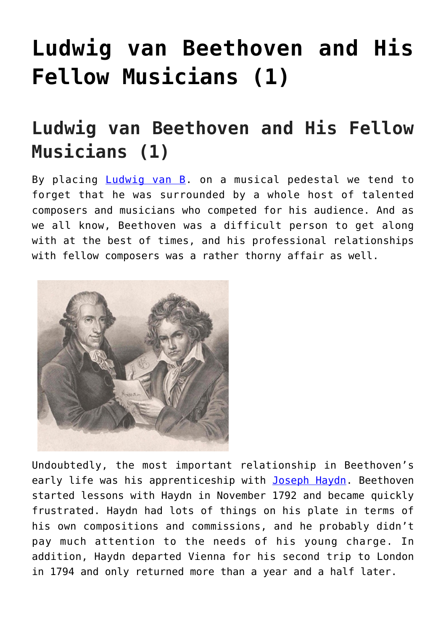## **[Ludwig van Beethoven and His](https://sheetmusiclibrary.website/2022/02/21/ludwig-van-beethoven/) [Fellow Musicians \(1\)](https://sheetmusiclibrary.website/2022/02/21/ludwig-van-beethoven/)**

## **Ludwig van Beethoven and His Fellow Musicians (1)**

By placing [Ludwig van B](https://interlude.hk/ludwig-van-beethoven/). on a musical pedestal we tend to forget that he was surrounded by a whole host of talented composers and musicians who competed for his audience. And as we all know, Beethoven was a difficult person to get along with at the best of times, and his professional relationships with fellow composers was a rather thorny affair as well.



Undoubtedly, the most important relationship in Beethoven's early life was his apprenticeship with [Joseph Haydn](https://interlude.hk/center-musical-universe-franz-josef-haydn/). Beethoven started lessons with Haydn in November 1792 and became quickly frustrated. Haydn had lots of things on his plate in terms of his own compositions and commissions, and he probably didn't pay much attention to the needs of his young charge. In addition, Haydn departed Vienna for his second trip to London in 1794 and only returned more than a year and a half later.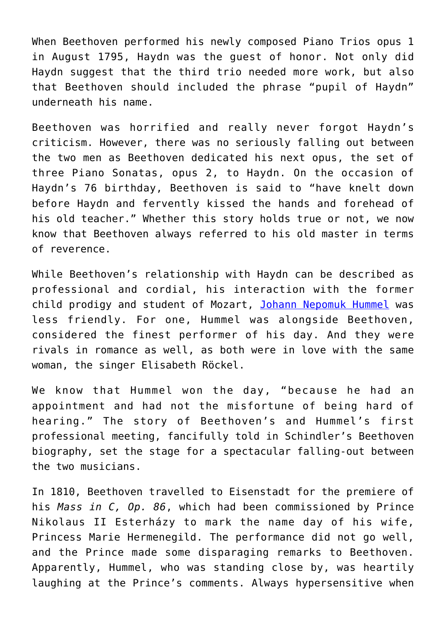When Beethoven performed his newly composed Piano Trios opus 1 in August 1795, Haydn was the guest of honor. Not only did Haydn suggest that the third trio needed more work, but also that Beethoven should included the phrase "pupil of Haydn" underneath his name.

Beethoven was horrified and really never forgot Haydn's criticism. However, there was no seriously falling out between the two men as Beethoven dedicated his next opus, the set of three Piano Sonatas, opus 2, to Haydn. On the occasion of Haydn's 76 birthday, Beethoven is said to "have knelt down before Haydn and fervently kissed the hands and forehead of his old teacher." Whether this story holds true or not, we now know that Beethoven always referred to his old master in terms of reverence.

While Beethoven's relationship with Haydn can be described as professional and cordial, his interaction with the former child prodigy and student of Mozart, [Johann Nepomuk Hummel](https://interlude.hk/johann-nepomuk-hummel/) was less friendly. For one, Hummel was alongside Beethoven, considered the finest performer of his day. And they were rivals in romance as well, as both were in love with the same woman, the singer Elisabeth Röckel.

We know that Hummel won the day, "because he had an appointment and had not the misfortune of being hard of hearing." The story of Beethoven's and Hummel's first professional meeting, fancifully told in Schindler's Beethoven biography, set the stage for a spectacular falling-out between the two musicians.

In 1810, Beethoven travelled to Eisenstadt for the premiere of his *Mass in C, Op. 86*, which had been commissioned by Prince Nikolaus II Esterházy to mark the name day of his wife, Princess Marie Hermenegild. The performance did not go well, and the Prince made some disparaging remarks to Beethoven. Apparently, Hummel, who was standing close by, was heartily laughing at the Prince's comments. Always hypersensitive when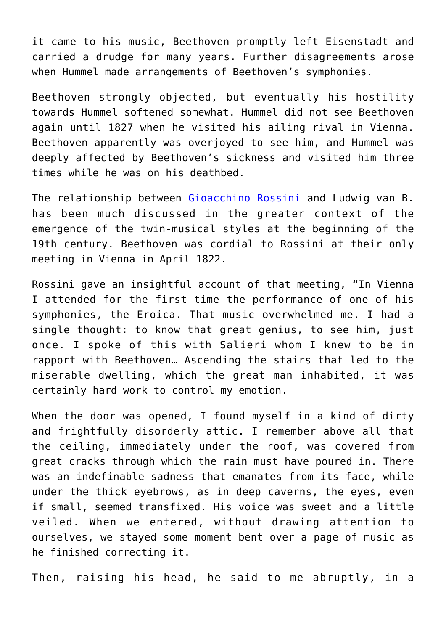it came to his music, Beethoven promptly left Eisenstadt and carried a drudge for many years. Further disagreements arose when Hummel made arrangements of Beethoven's symphonies.

Beethoven strongly objected, but eventually his hostility towards Hummel softened somewhat. Hummel did not see Beethoven again until 1827 when he visited his ailing rival in Vienna. Beethoven apparently was overjoyed to see him, and Hummel was deeply affected by Beethoven's sickness and visited him three times while he was on his deathbed.

The relationship between [Gioacchino Rossini](https://interlude.hk/gioachino-rossini/) and Ludwig van B. has been much discussed in the greater context of the emergence of the twin-musical styles at the beginning of the 19th century. Beethoven was cordial to Rossini at their only meeting in Vienna in April 1822.

Rossini gave an insightful account of that meeting, "In Vienna I attended for the first time the performance of one of his symphonies, the Eroica. That music overwhelmed me. I had a single thought: to know that great genius, to see him, just once. I spoke of this with Salieri whom I knew to be in rapport with Beethoven… Ascending the stairs that led to the miserable dwelling, which the great man inhabited, it was certainly hard work to control my emotion.

When the door was opened, I found myself in a kind of dirty and frightfully disorderly attic. I remember above all that the ceiling, immediately under the roof, was covered from great cracks through which the rain must have poured in. There was an indefinable sadness that emanates from its face, while under the thick eyebrows, as in deep caverns, the eyes, even if small, seemed transfixed. His voice was sweet and a little veiled. When we entered, without drawing attention to ourselves, we stayed some moment bent over a page of music as he finished correcting it.

Then, raising his head, he said to me abruptly, in a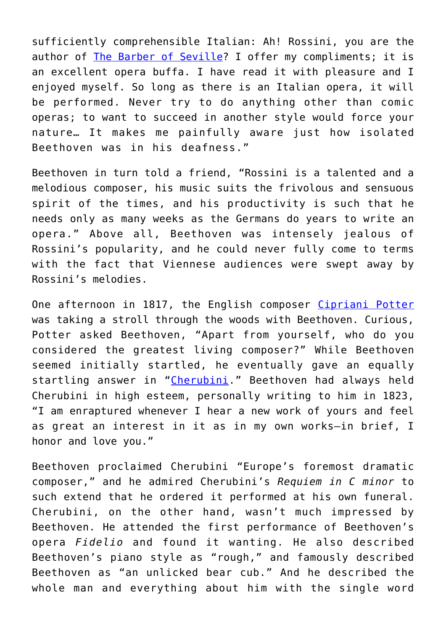sufficiently comprehensible Italian: Ah! Rossini, you are the author of [The Barber of Seville?](https://interlude.hk/rossini-barber-sevillepremiered-today-1816/) I offer my compliments; it is an excellent opera buffa. I have read it with pleasure and I enjoyed myself. So long as there is an Italian opera, it will be performed. Never try to do anything other than comic operas; to want to succeed in another style would force your nature… It makes me painfully aware just how isolated Beethoven was in his deafness."

Beethoven in turn told a friend, "Rossini is a talented and a melodious composer, his music suits the frivolous and sensuous spirit of the times, and his productivity is such that he needs only as many weeks as the Germans do years to write an opera." Above all, Beethoven was intensely jealous of Rossini's popularity, and he could never fully come to terms with the fact that Viennese audiences were swept away by Rossini's melodies.

One afternoon in 1817, the English composer [Cipriani Potter](https://en.wikipedia.org/wiki/Cipriani_Potter) was taking a stroll through the woods with Beethoven. Curious, Potter asked Beethoven, "Apart from yourself, who do you considered the greatest living composer?" While Beethoven seemed initially startled, he eventually gave an equally startling answer in "[Cherubini.](https://en.wikipedia.org/wiki/Luigi_Cherubini)" Beethoven had always held Cherubini in high esteem, personally writing to him in 1823, "I am enraptured whenever I hear a new work of yours and feel as great an interest in it as in my own works—in brief, I honor and love you."

Beethoven proclaimed Cherubini "Europe's foremost dramatic composer," and he admired Cherubini's *Requiem in C minor* to such extend that he ordered it performed at his own funeral. Cherubini, on the other hand, wasn't much impressed by Beethoven. He attended the first performance of Beethoven's opera *Fidelio* and found it wanting. He also described Beethoven's piano style as "rough," and famously described Beethoven as "an unlicked bear cub." And he described the whole man and everything about him with the single word